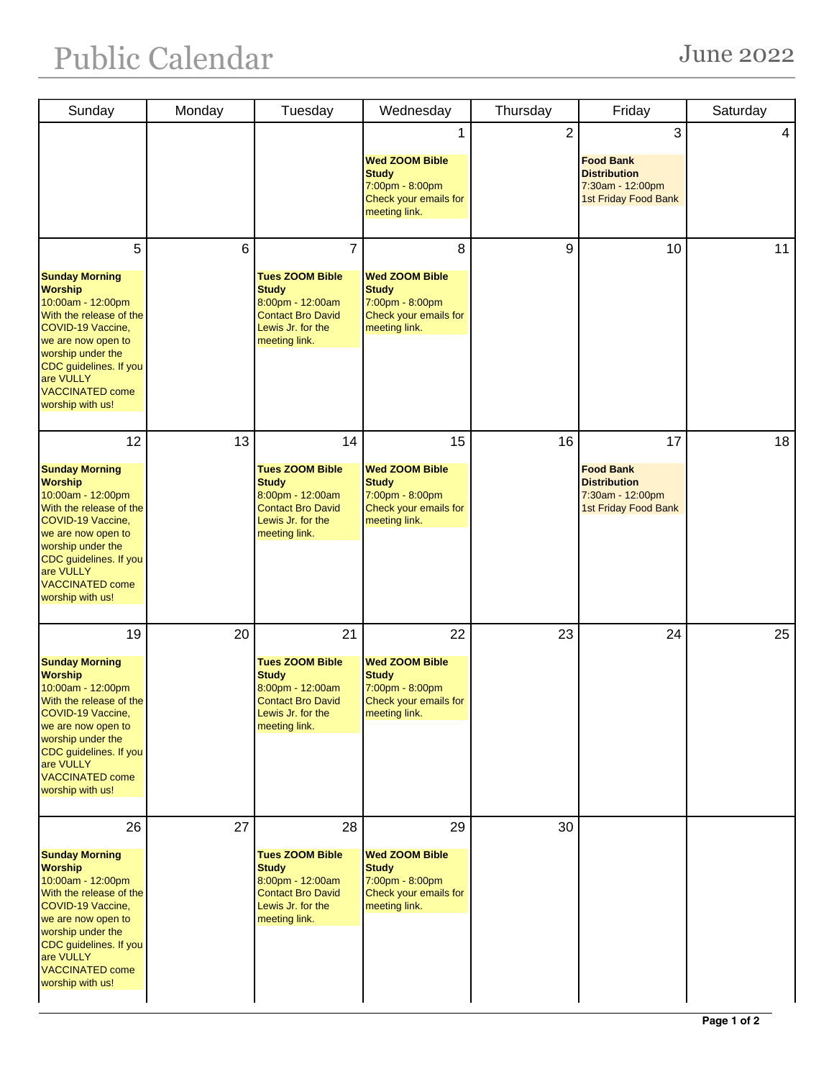## Public Calendar June 2022

| Sunday                                                                                                                                                                                                                                             | Monday | Tuesday                                                                                                                            | Wednesday                                                                                                | Thursday       | Friday                                                                                    | Saturday |
|----------------------------------------------------------------------------------------------------------------------------------------------------------------------------------------------------------------------------------------------------|--------|------------------------------------------------------------------------------------------------------------------------------------|----------------------------------------------------------------------------------------------------------|----------------|-------------------------------------------------------------------------------------------|----------|
|                                                                                                                                                                                                                                                    |        |                                                                                                                                    | 1<br><b>Wed ZOOM Bible</b><br><b>Study</b><br>7:00pm - 8:00pm<br>Check your emails for<br>meeting link.  | $\overline{2}$ | 3<br><b>Food Bank</b><br><b>Distribution</b><br>7:30am - 12:00pm<br>1st Friday Food Bank  | 4        |
| 5<br><b>Sunday Morning</b><br><b>Worship</b><br>10:00am - 12:00pm<br>With the release of the<br>COVID-19 Vaccine,<br>we are now open to<br>worship under the<br>CDC guidelines. If you<br>are VULLY<br><b>VACCINATED come</b><br>worship with us!  | 6      | 7<br><b>Tues ZOOM Bible</b><br><b>Study</b><br>8:00pm - 12:00am<br><b>Contact Bro David</b><br>Lewis Jr. for the<br>meeting link.  | 8<br><b>Wed ZOOM Bible</b><br><b>Study</b><br>7:00pm - 8:00pm<br>Check your emails for<br>meeting link.  | 9              | 10                                                                                        | 11       |
| 12<br><b>Sunday Morning</b><br><b>Worship</b><br>10:00am - 12:00pm<br>With the release of the<br>COVID-19 Vaccine,<br>we are now open to<br>worship under the<br>CDC guidelines. If you<br>are VULLY<br><b>VACCINATED come</b><br>worship with us! | 13     | 14<br><b>Tues ZOOM Bible</b><br><b>Study</b><br>8:00pm - 12:00am<br><b>Contact Bro David</b><br>Lewis Jr. for the<br>meeting link. | 15<br><b>Wed ZOOM Bible</b><br><b>Study</b><br>7:00pm - 8:00pm<br>Check your emails for<br>meeting link. | 16             | 17<br><b>Food Bank</b><br><b>Distribution</b><br>7:30am - 12:00pm<br>1st Friday Food Bank | 18       |
| 19<br><b>Sunday Morning</b><br><b>Worship</b><br>10:00am - 12:00pm<br>With the release of the<br>COVID-19 Vaccine,<br>we are now open to<br>worship under the<br>CDC guidelines. If you<br>are VULLY<br><b>VACCINATED come</b><br>worship with us! | 20     | 21<br><b>Tues ZOOM Bible</b><br><b>Study</b><br>8:00pm - 12:00am<br><b>Contact Bro David</b><br>Lewis Jr. for the<br>meeting link. | 22<br><b>Wed ZOOM Bible</b><br><b>Study</b><br>7:00pm - 8:00pm<br>Check your emails for<br>meeting link. | 23             | 24                                                                                        | 25       |
| 26<br><b>Sunday Morning</b><br><b>Worship</b><br>10:00am - 12:00pm<br>With the release of the<br>COVID-19 Vaccine,<br>we are now open to<br>worship under the<br>CDC guidelines. If you<br>are VULLY<br><b>VACCINATED come</b><br>worship with us! | 27     | 28<br><b>Tues ZOOM Bible</b><br><b>Study</b><br>8:00pm - 12:00am<br><b>Contact Bro David</b><br>Lewis Jr. for the<br>meeting link. | 29<br><b>Wed ZOOM Bible</b><br><b>Study</b><br>7:00pm - 8:00pm<br>Check your emails for<br>meeting link. | 30             |                                                                                           |          |